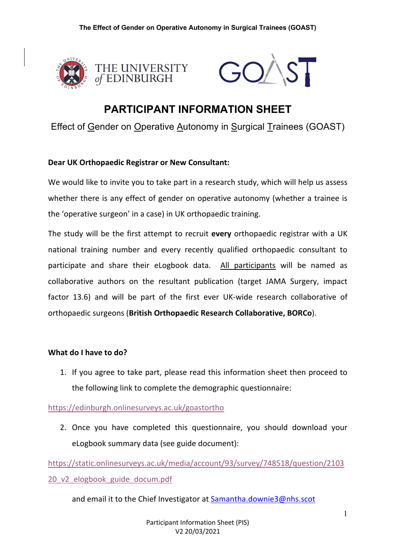



# **PARTICIPANT INFORMATION SHEET**

Effect of Gender on Operative Autonomy in Surgical Trainees (GOAST)

## **Dear UK Orthopaedic Registrar or New Consultant:**

We would like to invite you to take part in a research study, which will help us assess whether there is any effect of gender on operative autonomy (whether a trainee is the 'operative surgeon' in a case) in UK orthopaedic training.

The study will be the first attempt to recruit **every** orthopaedic registrar with a UK national training number and every recently qualified orthopaedic consultant to participate and share their eLogbook data. All participants will be named as collaborative authors on the resultant publication (target JAMA Surgery, impact factor 13.6) and will be part of the first ever UK-wide research collaborative of orthopaedic surgeons (**British Orthopaedic Research Collaborative, BORCo**).

#### **What do I have to do?**

1. If you agree to take part, please read this information sheet then proceed to the following link to complete the demographic questionnaire:

https://edinburgh.onlinesurveys.ac.uk/goastortho

2. Once you have completed this questionnaire, you should download your eLogbook summary data (see guide document):

https://static.onlinesurveys.ac.uk/media/account/93/survey/748518/question/2103 20\_v2\_elogbook\_guide\_docum.pdf

and email it to the Chief Investigator at Samantha.downie3@nhs.scot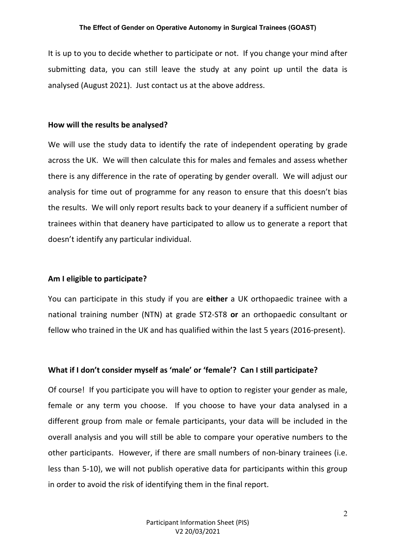It is up to you to decide whether to participate or not. If you change your mind after submitting data, you can still leave the study at any point up until the data is analysed (August 2021). Just contact us at the above address.

#### **How will the results be analysed?**

We will use the study data to identify the rate of independent operating by grade across the UK. We will then calculate this for males and females and assess whether there is any difference in the rate of operating by gender overall. We will adjust our analysis for time out of programme for any reason to ensure that this doesn't bias the results. We will only report results back to your deanery if a sufficient number of trainees within that deanery have participated to allow us to generate a report that doesn't identify any particular individual.

#### **Am I eligible to participate?**

You can participate in this study if you are **either** a UK orthopaedic trainee with a national training number (NTN) at grade ST2-ST8 **or** an orthopaedic consultant or fellow who trained in the UK and has qualified within the last 5 years (2016-present).

#### **What if I don't consider myself as 'male' or 'female'? Can I still participate?**

Of course! If you participate you will have to option to register your gender as male, female or any term you choose. If you choose to have your data analysed in a different group from male or female participants, your data will be included in the overall analysis and you will still be able to compare your operative numbers to the other participants. However, if there are small numbers of non-binary trainees (i.e. less than 5-10), we will not publish operative data for participants within this group in order to avoid the risk of identifying them in the final report.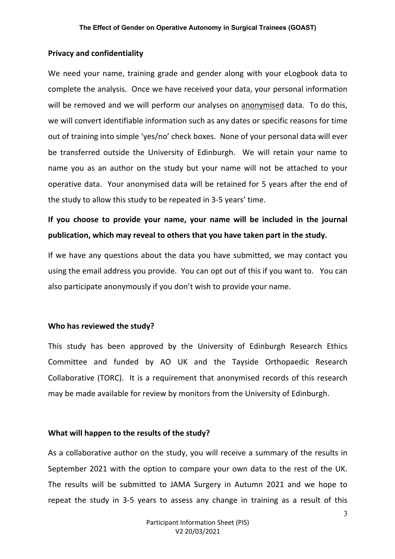#### **Privacy and confidentiality**

We need your name, training grade and gender along with your eLogbook data to complete the analysis. Once we have received your data, your personal information will be removed and we will perform our analyses on anonymised data. To do this, we will convert identifiable information such as any dates or specific reasons for time out of training into simple 'yes/no' check boxes. None of your personal data will ever be transferred outside the University of Edinburgh. We will retain your name to name you as an author on the study but your name will not be attached to your operative data. Your anonymised data will be retained for 5 years after the end of the study to allow this study to be repeated in 3-5 years' time.

# **If you choose to provide your name, your name will be included in the journal publication, which may reveal to others that you have taken part in the study.**

If we have any questions about the data you have submitted, we may contact you using the email address you provide. You can opt out of this if you want to. You can also participate anonymously if you don't wish to provide your name.

#### **Who has reviewed the study?**

This study has been approved by the University of Edinburgh Research Ethics Committee and funded by AO UK and the Tayside Orthopaedic Research Collaborative (TORC). It is a requirement that anonymised records of this research may be made available for review by monitors from the University of Edinburgh.

#### **What will happen to the results of the study?**

As a collaborative author on the study, you will receive a summary of the results in September 2021 with the option to compare your own data to the rest of the UK. The results will be submitted to JAMA Surgery in Autumn 2021 and we hope to repeat the study in 3-5 years to assess any change in training as a result of this